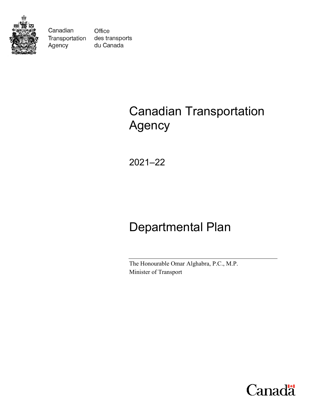

Canadian Transportation Agency

Office des transports du Canada

# Canadian Transportation Agency

2021–22

# Departmental Plan

The Honourable Omar Alghabra, P.C., M.P. Minister of Transport

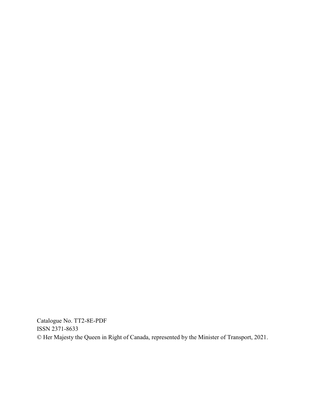Catalogue No. TT2-8E-PDF ISSN 2371-8633 © Her Majesty the Queen in Right of Canada, represented by the Minister of Transport, 2021.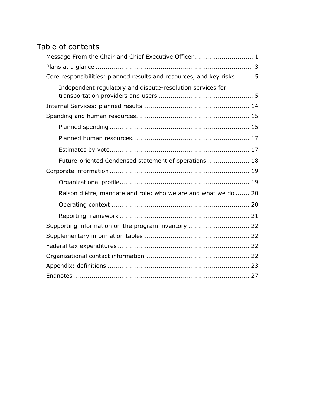## Table of contents

| Message From the Chair and Chief Executive Officer  1                 |
|-----------------------------------------------------------------------|
|                                                                       |
| Core responsibilities: planned results and resources, and key risks 5 |
| Independent regulatory and dispute-resolution services for            |
|                                                                       |
|                                                                       |
|                                                                       |
|                                                                       |
|                                                                       |
| Future-oriented Condensed statement of operations 18                  |
|                                                                       |
|                                                                       |
| Raison d'être, mandate and role: who we are and what we do  20        |
|                                                                       |
|                                                                       |
| Supporting information on the program inventory  22                   |
|                                                                       |
|                                                                       |
|                                                                       |
|                                                                       |
|                                                                       |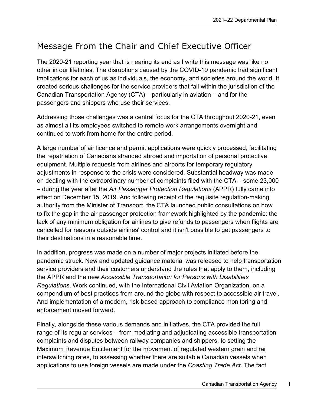# <span id="page-4-0"></span>Message From the Chair and Chief Executive Officer

The 2020-21 reporting year that is nearing its end as I write this message was like no other in our lifetimes. The disruptions caused by the COVID-19 pandemic had significant implications for each of us as individuals, the economy, and societies around the world. It created serious challenges for the service providers that fall within the jurisdiction of the Canadian Transportation Agency (CTA) – particularly in aviation – and for the passengers and shippers who use their services.

Addressing those challenges was a central focus for the CTA throughout 2020-21, even as almost all its employees switched to remote work arrangements overnight and continued to work from home for the entire period.

A large number of air licence and permit applications were quickly processed, facilitating the repatriation of Canadians stranded abroad and importation of personal protective equipment. Multiple requests from airlines and airports for temporary regulatory adjustments in response to the crisis were considered. Substantial headway was made on dealing with the extraordinary number of complaints filed with the CTA – some 23,000 – during the year after the *Air Passenger Protection Regulations* (APPR) fully came into effect on December 15, 2019. And following receipt of the requisite regulation-making authority from the Minister of Transport, the CTA launched public consultations on how to fix the gap in the air passenger protection framework highlighted by the pandemic: the lack of any minimum obligation for airlines to give refunds to passengers when flights are cancelled for reasons outside airlines' control and it isn't possible to get passengers to their destinations in a reasonable time.

In addition, progress was made on a number of major projects initiated before the pandemic struck. New and updated guidance material was released to help transportation service providers and their customers understand the rules that apply to them, including the APPR and the new *Accessible Transportation for Persons with Disabilities Regulations*. Work continued, with the International Civil Aviation Organization, on a compendium of best practices from around the globe with respect to accessible air travel. And implementation of a modern, risk-based approach to compliance monitoring and enforcement moved forward.

Finally, alongside these various demands and initiatives, the CTA provided the full range of its regular services – from mediating and adjudicating accessible transportation complaints and disputes between railway companies and shippers, to setting the Maximum Revenue Entitlement for the movement of regulated western grain and rail interswitching rates, to assessing whether there are suitable Canadian vessels when applications to use foreign vessels are made under the *Coasting Trade Act*. The fact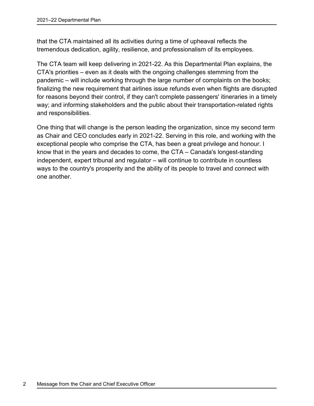that the CTA maintained all its activities during a time of upheaval reflects the tremendous dedication, agility, resilience, and professionalism of its employees.

The CTA team will keep delivering in 2021-22. As this Departmental Plan explains, the CTA's priorities – even as it deals with the ongoing challenges stemming from the pandemic – will include working through the large number of complaints on the books; finalizing the new requirement that airlines issue refunds even when flights are disrupted for reasons beyond their control, if they can't complete passengers' itineraries in a timely way; and informing stakeholders and the public about their transportation-related rights and responsibilities.

One thing that will change is the person leading the organization, since my second term as Chair and CEO concludes early in 2021-22. Serving in this role, and working with the exceptional people who comprise the CTA, has been a great privilege and honour. I know that in the years and decades to come, the CTA – Canada's longest-standing independent, expert tribunal and regulator – will continue to contribute in countless ways to the country's prosperity and the ability of its people to travel and connect with one another.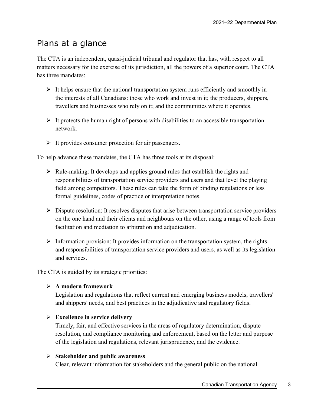## <span id="page-6-0"></span>Plans at a glance

The CTA is an independent, quasi-judicial tribunal and regulator that has, with respect to all matters necessary for the exercise of its jurisdiction, all the powers of a superior court. The CTA has three mandates:

- $\triangleright$  It helps ensure that the national transportation system runs efficiently and smoothly in the interests of all Canadians: those who work and invest in it; the producers, shippers, travellers and businesses who rely on it; and the communities where it operates.
- $\triangleright$  It protects the human right of persons with disabilities to an accessible transportation network.
- $\triangleright$  It provides consumer protection for air passengers.

To help advance these mandates, the CTA has three tools at its disposal:

- $\triangleright$  Rule-making: It develops and applies ground rules that establish the rights and responsibilities of transportation service providers and users and that level the playing field among competitors. These rules can take the form of binding regulations or less formal guidelines, codes of practice or interpretation notes.
- $\triangleright$  Dispute resolution: It resolves disputes that arise between transportation service providers on the one hand and their clients and neighbours on the other, using a range of tools from facilitation and mediation to arbitration and adjudication.
- $\triangleright$  Information provision: It provides information on the transportation system, the rights and responsibilities of transportation service providers and users, as well as its legislation and services.

The CTA is guided by its strategic priorities:

#### **A modern framework**

Legislation and regulations that reflect current and emerging business models, travellers' and shippers' needs, and best practices in the adjudicative and regulatory fields.

#### **Excellence in service delivery**

Timely, fair, and effective services in the areas of regulatory determination, dispute resolution, and compliance monitoring and enforcement, based on the letter and purpose of the legislation and regulations, relevant jurisprudence, and the evidence.

#### **Stakeholder and public awareness**

Clear, relevant information for stakeholders and the general public on the national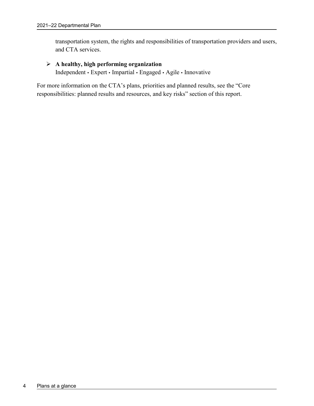transportation system, the rights and responsibilities of transportation providers and users, and CTA services.

#### **A healthy, high performing organization**

Independent • Expert • Impartial • Engaged • Agile • Innovative

For more information on the CTA's plans, priorities and planned results, see the "Core responsibilities: planned results and resources, and key risks" section of this report.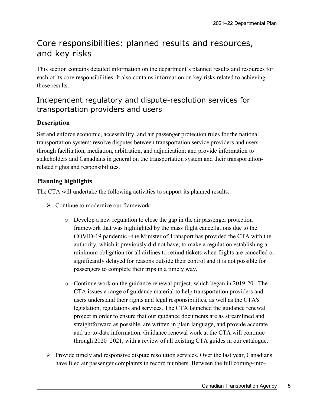# <span id="page-8-0"></span>Core responsibilities: planned results and resources, and key risks

This section contains detailed information on the department's planned results and resources for each of its core responsibilities. It also contains information on key risks related to achieving those results.

### <span id="page-8-1"></span>Independent regulatory and dispute-resolution services for transportation providers and users

#### **Description**

Set and enforce economic, accessibility, and air passenger protection rules for the national transportation system; resolve disputes between transportation service providers and users through facilitation, mediation, arbitration, and adjudication; and provide information to stakeholders and Canadians in general on the transportation system and their transportationrelated rights and responsibilities.

#### **Planning highlights**

The CTA will undertake the following activities to support its planned results:

- $\triangleright$  Continue to modernize our framework:
	- o Develop a new regulation to close the gap in the air passenger protection framework that was highlighted by the mass flight cancellations due to the COVID-19 pandemic –the Minister of Transport has provided the CTA with the authority, which it previously did not have, to make a regulation establishing a minimum obligation for all airlines to refund tickets when flights are cancelled or significantly delayed for reasons outside their control and it is not possible for passengers to complete their trips in a timely way.
	- o Continue work on the guidance renewal project, which began in 2019-20. The CTA issues a range of guidance material to help transportation providers and users understand their rights and legal responsibilities, as well as the CTA's legislation, regulations and services. The CTA launched the guidance renewal project in order to ensure that our guidance documents are as streamlined and straightforward as possible, are written in plain language, and provide accurate and up-to-date information. Guidance renewal work at the CTA will continue through 2020–2021, with a review of all existing CTA guides in our catalogue.
- $\triangleright$  Provide timely and responsive dispute resolution services. Over the last year, Canadians have filed air passenger complaints in record numbers. Between the full coming-into-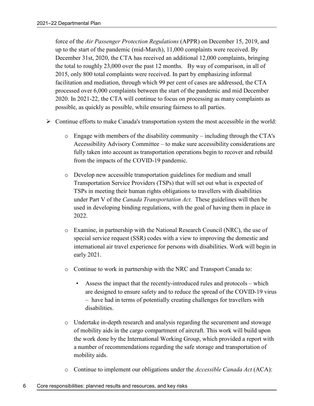force of the *Air Passenger Protection Regulations* (APPR) on December 15, 2019, and up to the start of the pandemic (mid-March), 11,000 complaints were received. By December 31st, 2020, the CTA has received an additional 12,000 complaints, bringing the total to roughly 23,000 over the past 12 months. By way of comparison, in all of 2015, only 800 total complaints were received. In part by emphasizing informal facilitation and mediation, through which 99 per cent of cases are addressed, the CTA processed over 6,000 complaints between the start of the pandemic and mid December 2020. In 2021-22, the CTA will continue to focus on processing as many complaints as possible, as quickly as possible, while ensuring fairness to all parties.

- $\triangleright$  Continue efforts to make Canada's transportation system the most accessible in the world:
	- $\circ$  Engage with members of the disability community including through the CTA's Accessibility Advisory Committee – to make sure accessibility considerations are fully taken into account as transportation operations begin to recover and rebuild from the impacts of the COVID-19 pandemic.
	- o Develop new accessible transportation guidelines for medium and small Transportation Service Providers (TSPs) that will set out what is expected of TSPs in meeting their human rights obligations to travellers with disabilities under Part V of the *Canada Transportation Act.* These guidelines will then be used in developing binding regulations, with the goal of having them in place in 2022.
	- o Examine, in partnership with the National Research Council (NRC), the use of special service request (SSR) codes with a view to improving the domestic and international air travel experience for persons with disabilities. Work will begin in early 2021.
	- o Continue to work in partnership with the NRC and Transport Canada to:
		- Assess the impact that the recently-introduced rules and protocols which are designed to ensure safety and to reduce the spread of the COVID-19 virus – have had in terms of potentially creating challenges for travellers with disabilities.
	- o Undertake in-depth research and analysis regarding the securement and stowage of mobility aids in the cargo compartment of aircraft. This work will build upon the work done by the International Working Group, which provided a report with a number of recommendations regarding the safe storage and transportation of mobility aids.
	- o Continue to implement our obligations under the *Accessible Canada Act* (ACA):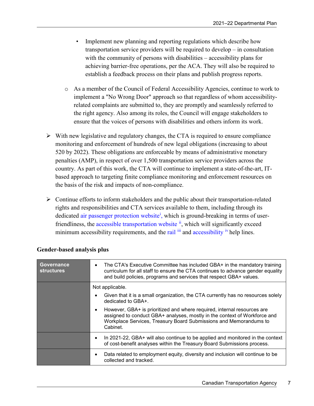- Implement new planning and reporting regulations which describe how transportation service providers will be required to develop – in consultation with the community of persons with disabilities – accessibility plans for achieving barrier-free operations, per the ACA. They will also be required to establish a feedback process on their plans and publish progress reports.
- o As a member of the Council of Federal Accessibility Agencies, continue to work to implement a "No Wrong Door" approach so that regardless of whom accessibilityrelated complaints are submitted to, they are promptly and seamlessly referred to the right agency. Also among its roles, the Council will engage stakeholders to ensure that the voices of persons with disabilities and others inform its work.
- $\triangleright$  With new legislative and regulatory changes, the CTA is required to ensure compliance monitoring and enforcement of hundreds of new legal obligations (increasing to about 520 by 2022). These obligations are enforceable by means of administrative monetary penalties (AMP), in respect of over 1,500 transportation service providers across the country. As part of this work, the CTA will continue to implement a state-of-the-art, ITbased approach to targeting finite compliance monitoring and enforcement resources on the basis of the risk and impacts of non-compliance.
- $\triangleright$  Continue efforts to inform stakeholders and the public about their transportation-related rights and responsibilities and CTA services available to them, including through its dedicated [air passenger protection website](https://rppa-appr.ca/eng)<sup>[i](#page-30-1)</sup>, which is ground-breaking in terms of userfriendliness, the [accessible transportation website](https://otc-cta.gc.ca/eng/accessible-transportation)  $\ddot{u}$ , which will significantly exceed minimum accessibility requirements, and the [rail](https://otc-cta.gc.ca/eng/railway-rail-shipper-and-community-help-line) [iii](#page-30-3) and [accessibility](https://otc-cta.gc.ca/eng/accessibility#complaints) [iv](#page-30-4) help lines.

| Governance<br><b>structures</b> | The CTA's Executive Committee has included GBA+ in the mandatory training<br>$\bullet$<br>curriculum for all staff to ensure the CTA continues to advance gender equality<br>and build policies, programs and services that respect GBA+ values.   |  |  |  |  |  |  |  |
|---------------------------------|----------------------------------------------------------------------------------------------------------------------------------------------------------------------------------------------------------------------------------------------------|--|--|--|--|--|--|--|
|                                 | Not applicable.                                                                                                                                                                                                                                    |  |  |  |  |  |  |  |
|                                 | Given that it is a small organization, the CTA currently has no resources solely<br>$\bullet$<br>dedicated to GBA+.                                                                                                                                |  |  |  |  |  |  |  |
|                                 | However, GBA+ is prioritized and where required, internal resources are<br>$\bullet$<br>assigned to conduct GBA+ analyses, mostly in the context of Workforce and<br>Workplace Services, Treasury Board Submissions and Memorandums to<br>Cabinet. |  |  |  |  |  |  |  |
|                                 | In 2021-22, GBA+ will also continue to be applied and monitored in the context<br>$\bullet$<br>of cost-benefit analyses within the Treasury Board Submissions process.                                                                             |  |  |  |  |  |  |  |
|                                 | Data related to employment equity, diversity and inclusion will continue to be<br>$\bullet$<br>collected and tracked.                                                                                                                              |  |  |  |  |  |  |  |

#### **Gender-based analysis plus**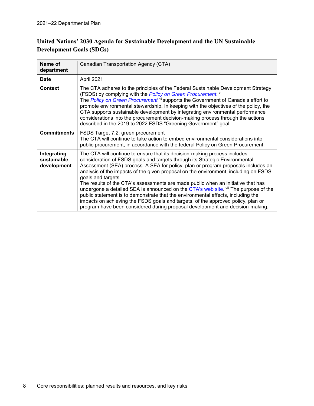#### **United Nations' 2030 Agenda for Sustainable Development and the UN Sustainable Development Goals (SDGs)**

| Name of<br>department                     | Canadian Transportation Agency (CTA)                                                                                                                                                                                                                                                                                                                                                                                                                                                                                                                                                                                                                                                                                                                                                           |
|-------------------------------------------|------------------------------------------------------------------------------------------------------------------------------------------------------------------------------------------------------------------------------------------------------------------------------------------------------------------------------------------------------------------------------------------------------------------------------------------------------------------------------------------------------------------------------------------------------------------------------------------------------------------------------------------------------------------------------------------------------------------------------------------------------------------------------------------------|
| <b>Date</b>                               | April 2021                                                                                                                                                                                                                                                                                                                                                                                                                                                                                                                                                                                                                                                                                                                                                                                     |
| <b>Context</b>                            | The CTA adheres to the principles of the Federal Sustainable Development Strategy<br>(FSDS) by complying with the Policy on Green Procurement. v<br>The Policy on Green Procurement vi supports the Government of Canada's effort to<br>promote environmental stewardship. In keeping with the objectives of the policy, the<br>CTA supports sustainable development by integrating environmental performance<br>considerations into the procurement decision-making process through the actions<br>described in the 2019 to 2022 FSDS "Greening Government" goal.                                                                                                                                                                                                                             |
| <b>Commitments</b>                        | FSDS Target 7.2: green procurement<br>The CTA will continue to take action to embed environmental considerations into<br>public procurement, in accordance with the federal Policy on Green Procurement.                                                                                                                                                                                                                                                                                                                                                                                                                                                                                                                                                                                       |
| Integrating<br>sustainable<br>development | The CTA will continue to ensure that its decision-making process includes<br>consideration of FSDS goals and targets through its Strategic Environmental<br>Assessment (SEA) process. A SEA for policy, plan or program proposals includes an<br>analysis of the impacts of the given proposal on the environment, including on FSDS<br>goals and targets.<br>The results of the CTA's assessments are made public when an initiative that has<br>undergone a detailed SEA is announced on the CTA's web site. vii The purpose of the<br>public statement is to demonstrate that the environmental effects, including the<br>impacts on achieving the FSDS goals and targets, of the approved policy, plan or<br>program have been considered during proposal development and decision-making. |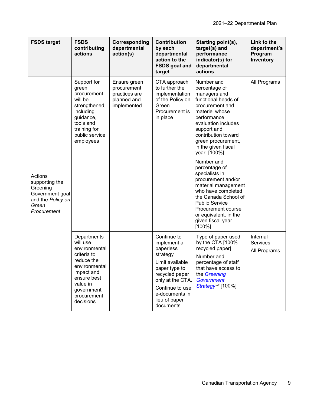| <b>FSDS target</b>                                                                                    | <b>FSDS</b><br>contributing<br>actions                                                                                                                                    | Corresponding<br>departmental<br>action(s)                                 | Contribution<br>by each<br>departmental<br>action to the<br><b>FSDS</b> goal and<br>target                                                                                                        | Starting point(s),<br>target(s) and<br>performance<br>indicator(s) for<br>departmental<br>actions                                                                                                                                                                               | Link to the<br>department's<br>Program<br>Inventory |
|-------------------------------------------------------------------------------------------------------|---------------------------------------------------------------------------------------------------------------------------------------------------------------------------|----------------------------------------------------------------------------|---------------------------------------------------------------------------------------------------------------------------------------------------------------------------------------------------|---------------------------------------------------------------------------------------------------------------------------------------------------------------------------------------------------------------------------------------------------------------------------------|-----------------------------------------------------|
|                                                                                                       | Support for<br>green<br>procurement<br>will be<br>strengthened,<br>including<br>guidance,<br>tools and<br>training for<br>public service<br>employees                     | Ensure green<br>procurement<br>practices are<br>planned and<br>implemented | CTA approach<br>to further the<br>implementation<br>of the Policy on<br>Green<br>Procurement is<br>in place                                                                                       | Number and<br>percentage of<br>managers and<br>functional heads of<br>procurement and<br>materiel whose<br>performance<br>evaluation includes<br>support and<br>contribution toward<br>green procurement,<br>in the given fiscal<br>year. [100%]<br>Number and<br>percentage of | All Programs                                        |
| Actions<br>supporting the<br>Greening<br>Government goal<br>and the Policy on<br>Green<br>Procurement |                                                                                                                                                                           |                                                                            |                                                                                                                                                                                                   | specialists in<br>procurement and/or<br>material management<br>who have completed<br>the Canada School of<br><b>Public Service</b><br>Procurement course<br>or equivalent, in the<br>given fiscal year.<br>$[100\%]$                                                            |                                                     |
|                                                                                                       | Departments<br>will use<br>environmental<br>criteria to<br>reduce the<br>environmental<br>impact and<br>ensure best<br>value in<br>government<br>procurement<br>decisions |                                                                            | Continue to<br>implement a<br>paperless<br>strategy<br>Limit available<br>paper type to<br>recycled paper<br>only at the CTA.<br>Continue to use<br>e-documents in<br>lieu of paper<br>documents. | Type of paper used<br>by the CTA [100%<br>recycled paper]<br>Number and<br>percentage of staff<br>that have access to<br>the Greening<br><b>Government</b><br>Strategy <sup>viii</sup> [100%]                                                                                   | Internal<br><b>Services</b><br>All Programs         |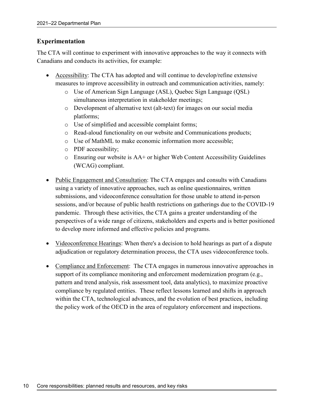#### **Experimentation**

The CTA will continue to experiment with innovative approaches to the way it connects with Canadians and conducts its activities, for example:

- Accessibility: The CTA has adopted and will continue to develop/refine extensive measures to improve accessibility in outreach and communication activities, namely:
	- o Use of American Sign Language (ASL), Quebec Sign Language (QSL) simultaneous interpretation in stakeholder meetings;
	- o Development of alternative text (alt-text) for images on our social media platforms;
	- o Use of simplified and accessible complaint forms;
	- o Read-aloud functionality on our website and Communications products;
	- o Use of MathML to make economic information more accessible;
	- o PDF accessibility;
	- $\circ$  Ensuring our website is AA+ or higher Web Content Accessibility Guidelines (WCAG) compliant.
- Public Engagement and Consultation: The CTA engages and consults with Canadians using a variety of innovative approaches, such as online questionnaires, written submissions, and videoconference consultation for those unable to attend in-person sessions, and/or because of public health restrictions on gatherings due to the COVID-19 pandemic. Through these activities, the CTA gains a greater understanding of the perspectives of a wide range of citizens, stakeholders and experts and is better positioned to develop more informed and effective policies and programs.
- Videoconference Hearings: When there's a decision to hold hearings as part of a dispute adjudication or regulatory determination process, the CTA uses videoconference tools.
- Compliance and Enforcement: The CTA engages in numerous innovative approaches in support of its compliance monitoring and enforcement modernization program (e.g., pattern and trend analysis, risk assessment tool, data analytics), to maximize proactive compliance by regulated entities. These reflect lessons learned and shifts in approach within the CTA, technological advances, and the evolution of best practices, including the policy work of the OECD in the area of regulatory enforcement and inspections.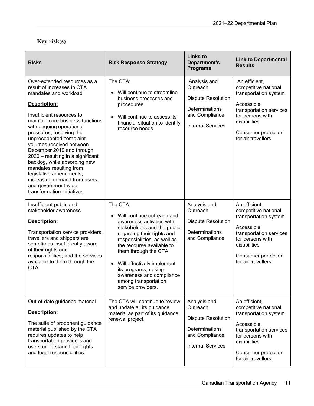### **Key risk(s)**

| <b>Risks</b>                                                                                                                                                                                                                                                                                                                                                                                                                                                                                                                      | <b>Risk Response Strategy</b>                                                                                                                                                                                                                                                                                                                                                    | <b>Links to</b><br><b>Department's</b><br><b>Programs</b>                                                                    | <b>Link to Departmental</b><br><b>Results</b>                                                                                                                                            |
|-----------------------------------------------------------------------------------------------------------------------------------------------------------------------------------------------------------------------------------------------------------------------------------------------------------------------------------------------------------------------------------------------------------------------------------------------------------------------------------------------------------------------------------|----------------------------------------------------------------------------------------------------------------------------------------------------------------------------------------------------------------------------------------------------------------------------------------------------------------------------------------------------------------------------------|------------------------------------------------------------------------------------------------------------------------------|------------------------------------------------------------------------------------------------------------------------------------------------------------------------------------------|
| Over-extended resources as a<br>result of increases in CTA<br>mandates and workload<br>Description:<br>Insufficient resources to<br>maintain core business functions<br>with ongoing operational<br>pressures, resolving the<br>unprecedented complaint<br>volumes received between<br>December 2019 and through<br>2020 – resulting in a significant<br>backlog, while absorbing new<br>mandates resulting from<br>legislative amendments,<br>increasing demand from users,<br>and government-wide<br>transformation initiatives | The CTA:<br>Will continue to streamline<br>business processes and<br>procedures<br>Will continue to assess its<br>$\bullet$<br>financial situation to identify<br>resource needs                                                                                                                                                                                                 | Analysis and<br>Outreach<br><b>Dispute Resolution</b><br>Determinations<br>and Compliance<br><b>Internal Services</b>        | An efficient,<br>competitive national<br>transportation system<br>Accessible<br>transportation services<br>for persons with<br>disabilities<br>Consumer protection<br>for air travellers |
| Insufficient public and<br>stakeholder awareness<br>Description:<br>Transportation service providers,<br>travellers and shippers are<br>sometimes insufficiently aware<br>of their rights and<br>responsibilities, and the services<br>available to them through the<br><b>CTA</b>                                                                                                                                                                                                                                                | The CTA:<br>Will continue outreach and<br>$\bullet$<br>awareness activities with<br>stakeholders and the public<br>regarding their rights and<br>responsibilities, as well as<br>the recourse available to<br>them through the CTA<br>Will effectively implement<br>$\bullet$<br>its programs, raising<br>awareness and compliance<br>among transportation<br>service providers. | Analysis and<br>Outreach<br><b>Dispute Resolution</b><br>Determinations<br>and Compliance                                    | An efficient,<br>competitive national<br>transportation system<br>Accessible<br>transportation services<br>for persons with<br>disabilities<br>Consumer protection<br>for air travellers |
| Out-of-date guidance material<br>Description:<br>The suite of proponent guidance<br>material published by the CTA<br>requires updates to help<br>transportation providers and<br>users understand their rights<br>and legal responsibilities.                                                                                                                                                                                                                                                                                     | The CTA will continue to review<br>and update all its guidance<br>material as part of its guidance<br>renewal project.                                                                                                                                                                                                                                                           | Analysis and<br>Outreach<br><b>Dispute Resolution</b><br><b>Determinations</b><br>and Compliance<br><b>Internal Services</b> | An efficient,<br>competitive national<br>transportation system<br>Accessible<br>transportation services<br>for persons with<br>disabilities<br>Consumer protection<br>for air travellers |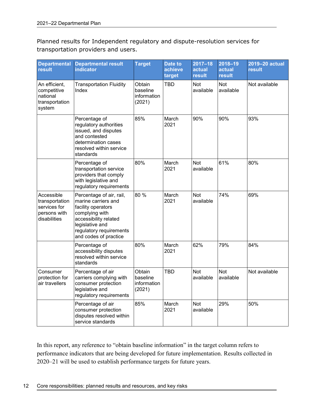Planned results for Independent regulatory and dispute-resolution services for transportation providers and users.

| <b>Departmental</b><br>result                                                | <b>Departmental result</b><br><b>indicator</b>                                                                                                                                          | <b>Target</b>                               | <b>Date to</b><br>achieve<br>target | $2017 - 18$<br>actual<br>result | $2018 - 19$<br>actual<br><b>result</b> | 2019-20 actual<br>result |
|------------------------------------------------------------------------------|-----------------------------------------------------------------------------------------------------------------------------------------------------------------------------------------|---------------------------------------------|-------------------------------------|---------------------------------|----------------------------------------|--------------------------|
| An efficient,<br>competitive<br>national<br>transportation<br>system         | <b>Transportation Fluidity</b><br>Index                                                                                                                                                 | Obtain<br>baseline<br>information<br>(2021) | <b>TBD</b>                          | Not<br>available                | <b>Not</b><br>available                | Not available            |
|                                                                              | Percentage of<br>regulatory authorities<br>issued, and disputes<br>and contested<br>determination cases<br>resolved within service<br>standards                                         | 85%                                         | March<br>2021                       | 90%                             | 90%                                    | 93%                      |
|                                                                              | Percentage of<br>transportation service<br>providers that comply<br>with legislative and<br>regulatory requirements                                                                     | 80%                                         | March<br>2021                       | <b>Not</b><br>available         | 61%                                    | 80%                      |
| Accessible<br>transportation<br>services for<br>persons with<br>disabilities | Percentage of air, rail,<br>marine carriers and<br>facility operators<br>complying with<br>accessibility related<br>legislative and<br>regulatory requirements<br>and codes of practice | 80%                                         | March<br>2021                       | <b>Not</b><br>available         | 74%                                    | 69%                      |
|                                                                              | Percentage of<br>accessibility disputes<br>resolved within service<br>standards                                                                                                         | 80%                                         | March<br>2021                       | 62%                             | 79%                                    | 84%                      |
| Consumer<br>protection for<br>air travellers                                 | Percentage of air<br>carriers complying with<br>consumer protection<br>legislative and<br>regulatory requirements                                                                       | Obtain<br>baseline<br>information<br>(2021) | <b>TBD</b>                          | <b>Not</b><br>available         | <b>Not</b><br>available                | Not available            |
|                                                                              | Percentage of air<br>consumer protection<br>disputes resolved within<br>service standards                                                                                               | 85%                                         | March<br>2021                       | <b>Not</b><br>available         | 29%                                    | 50%                      |

In this report, any reference to "obtain baseline information" in the target column refers to performance indicators that are being developed for future implementation. Results collected in 2020–21 will be used to establish performance targets for future years.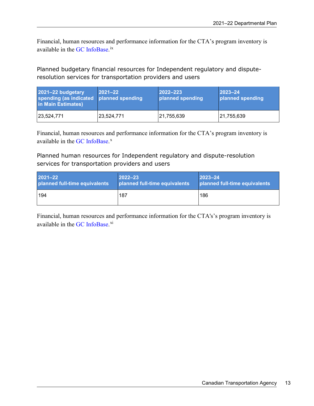Financial, human resources and performance information for the CTA's program inventory is available in the GC [InfoBase.](https://www.tbs-sct.gc.ca/ems-sgd/edb-bdd/index-eng.html)<sup>[ix](#page-30-9)</sup>

Planned budgetary financial resources for Independent regulatory and disputeresolution services for transportation providers and users

| 2021-22 budgetary<br>spending (as indicated<br>in Main Estimates) | $ 2021 - 22 $<br>planned spending | $ 2022 - 223 $<br>planned spending | $2023 - 24$<br>planned spending |
|-------------------------------------------------------------------|-----------------------------------|------------------------------------|---------------------------------|
| 23,524,771                                                        | 23,524,771                        | 21,755,639                         | 21,755,639                      |

Financial, human resources and performance information for the CTA's program inventory is available in the GC [InfoBase.](https://www.tbs-sct.gc.ca/ems-sgd/edb-bdd/index-eng.html)<sup>[x](#page-30-10)</sup>

Planned human resources for Independent regulatory and dispute-resolution services for transportation providers and users

| 2021-22                       | $2022 - 23$                   | $ 2023 - 24 $                 |
|-------------------------------|-------------------------------|-------------------------------|
| planned full-time equivalents | planned full-time equivalents | planned full-time equivalents |
| 194                           | 187                           | 186                           |

Financial, human resources and performance information for the CTA's's program inventory is available in the GC [InfoBase.](https://www.tbs-sct.gc.ca/ems-sgd/edb-bdd/index-eng.html)<sup>[xi](#page-30-11)</sup>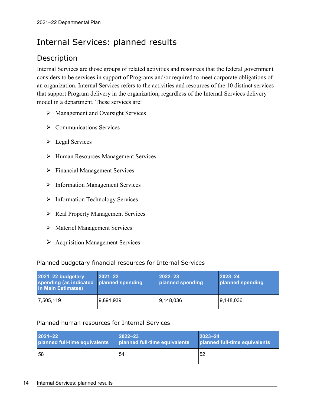# <span id="page-17-0"></span>Internal Services: planned results

### Description

Internal Services are those groups of related activities and resources that the federal government considers to be services in support of Programs and/or required to meet corporate obligations of an organization. Internal Services refers to the activities and resources of the 10 distinct services that support Program delivery in the organization, regardless of the Internal Services delivery model in a department. These services are:

- $\triangleright$  Management and Oversight Services
- $\triangleright$  Communications Services
- $\triangleright$  Legal Services
- Human Resources Management Services
- $\triangleright$  Financial Management Services
- $\triangleright$  Information Management Services
- $\triangleright$  Information Technology Services
- ▶ Real Property Management Services
- > Materiel Management Services
- $\triangleright$  Acquisition Management Services

#### Planned budgetary financial resources for Internal Services

| 2021-22 budgetary<br>spending (as indicated planned spending<br>in Main Estimates) | $ 2021 - 22 $ | $2022 - 23$<br>planned spending | $ 2023 - 24 $<br>planned spending |
|------------------------------------------------------------------------------------|---------------|---------------------------------|-----------------------------------|
| 7,505,119                                                                          | 9,891,939     | 9,148,036                       | 9,148,036                         |

#### Planned human resources for Internal Services

| 2021-22                       | $2022 - 23$                   | $ 2023 - 24$                  |
|-------------------------------|-------------------------------|-------------------------------|
| planned full-time equivalents | planned full-time equivalents | planned full-time equivalents |
| <b>58</b>                     | 54                            | 52                            |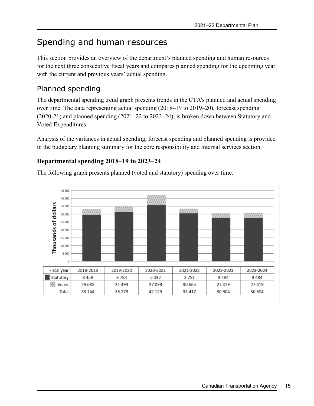# <span id="page-18-0"></span>Spending and human resources

This section provides an overview of the department's planned spending and human resources for the next three consecutive fiscal years and compares planned spending for the upcoming year with the current and previous years' actual spending.

### <span id="page-18-1"></span>Planned spending

The departmental spending trend graph presents trends in the CTA's planned and actual spending over time. The data representing actual spending (2018–19 to 2019–20), forecast spending (2020-21) and planned spending (2021–22 to 2023–24), is broken down between Statutory and Voted Expenditures.

Analysis of the variances in actual spending, forecast spending and planned spending is provided in the budgetary planning summary for the core responsibility and internal services section.

#### **Departmental spending 2018–19 to 2023–24**

The following graph presents planned (voted and statutory) spending over time.

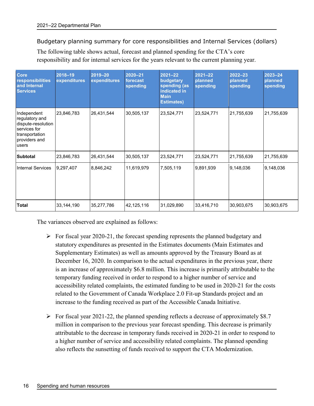Budgetary planning summary for core responsibilities and Internal Services (dollars)

The following table shows actual, forecast and planned spending for the CTA's core responsibility and for internal services for the years relevant to the current planning year.

| Core<br>responsibilities<br>and Internal<br><b>Services</b>                                                     | $2018 - 19$<br>expenditures | $2019 - 20$<br>expenditures | $2020 - 21$<br>forecast<br>spending | $2021 - 22$<br>budgetary<br>spending (as<br>indicated in<br><b>Main</b><br><b>Estimates)</b> | $2021 - 22$<br>planned<br>spending | 2022-23<br>planned<br>spending | 2023-24<br>planned<br>spending |
|-----------------------------------------------------------------------------------------------------------------|-----------------------------|-----------------------------|-------------------------------------|----------------------------------------------------------------------------------------------|------------------------------------|--------------------------------|--------------------------------|
| Independent<br>regulatory and<br>dispute-resolution<br>services for<br>transportation<br>providers and<br>users | 23,846,783                  | 26,431,544                  | 30,505,137                          | 23,524,771                                                                                   | 23,524,771                         | 21,755,639                     | 21,755,639                     |
| <b>Subtotal</b>                                                                                                 | 23,846,783                  | 26,431,544                  | 30,505,137                          | 23,524,771                                                                                   | 23,524,771                         | 21,755,639                     | 21,755,639                     |
| <b>Internal Services</b>                                                                                        | 9,297,407                   | 8,846,242                   | 11,619,979                          | 7,505,119                                                                                    | 9,891,939                          | 9.148,036                      | 9,148,036                      |
| <b>Total</b>                                                                                                    | 33, 144, 190                | 35,277,786                  | 42,125,116                          | 31,029,890                                                                                   | 33,416,710                         | 30,903,675                     | 30,903,675                     |

The variances observed are explained as follows:

- $\triangleright$  For fiscal year 2020-21, the forecast spending represents the planned budgetary and statutory expenditures as presented in the Estimates documents (Main Estimates and Supplementary Estimates) as well as amounts approved by the Treasury Board as at December 16, 2020. In comparison to the actual expenditures in the previous year, there is an increase of approximately \$6.8 million. This increase is primarily attributable to the temporary funding received in order to respond to a higher number of service and accessibility related complaints, the estimated funding to be used in 2020-21 for the costs related to the Government of Canada Workplace 2.0 Fit-up Standards project and an increase to the funding received as part of the Accessible Canada Initiative.
- For fiscal year 2021-22, the planned spending reflects a decrease of approximately \$8.7 million in comparison to the previous year forecast spending. This decrease is primarily attributable to the decrease in temporary funds received in 2020-21 in order to respond to a higher number of service and accessibility related complaints. The planned spending also reflects the sunsetting of funds received to support the CTA Modernization.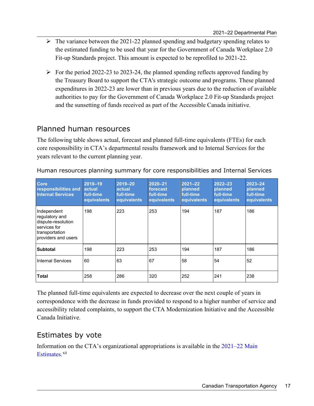- $\triangleright$  The variance between the 2021-22 planned spending and budgetary spending relates to the estimated funding to be used that year for the Government of Canada Workplace 2.0 Fit-up Standards project. This amount is expected to be reprofiled to 2021-22.
- $\triangleright$  For the period 2022-23 to 2023-24, the planned spending reflects approved funding by the Treasury Board to support the CTA's strategic outcome and programs. These planned expenditures in 2022-23 are lower than in previous years due to the reduction of available authorities to pay for the Government of Canada Workplace 2.0 Fit-up Standards project and the sunsetting of funds received as part of the Accessible Canada initiative.

### <span id="page-20-0"></span>Planned human resources

The following table shows actual, forecast and planned full-time equivalents (FTEs) for each core responsibility in CTA's departmental results framework and to Internal Services for the years relevant to the current planning year.

| <b>Core</b><br>responsibilities and<br><b>Internal Services</b>                                              | $2018 - 19$<br>actual<br>full-time<br>equivalents | 2019-20<br>actual<br>full-time<br>equivalents | $2020 - 21$<br>forecast<br>full-time<br>equivalents | $2021 - 22$<br>planned<br>full-time<br>equivalents | $2022 - 23$<br>planned<br>full-time<br>equivalents | $2023 - 24$<br>planned<br>full-time<br>equivalents |
|--------------------------------------------------------------------------------------------------------------|---------------------------------------------------|-----------------------------------------------|-----------------------------------------------------|----------------------------------------------------|----------------------------------------------------|----------------------------------------------------|
| Independent<br>regulatory and<br>dispute-resolution<br>services for<br>transportation<br>providers and users | 198                                               | 223                                           | 253                                                 | 194                                                | 187                                                | 186                                                |
| <b>Subtotal</b>                                                                                              | 198                                               | 223                                           | 253                                                 | 194                                                | 187                                                | 186                                                |
| <b>Internal Services</b>                                                                                     | 60                                                | 63                                            | 67                                                  | 58                                                 | 54                                                 | 52                                                 |
| <b>Total</b>                                                                                                 | 258                                               | 286                                           | 320                                                 | 252                                                | 241                                                | 238                                                |

Human resources planning summary for core responsibilities and Internal Services

The planned full-time equivalents are expected to decrease over the next couple of years in correspondence with the decrease in funds provided to respond to a higher number of service and accessibility related complaints, to support the CTA Modernization Initiative and the Accessible Canada Initiative.

### <span id="page-20-1"></span>Estimates by vote

Information on the CTA's organizational appropriations is available in the [2021–22 Main](http://www.tbs-sct.gc.ca/hgw-cgf/finances/pgs-pdg/gepme-pdgbpd/index-eng.asp)  [Estimates](http://www.tbs-sct.gc.ca/hgw-cgf/finances/pgs-pdg/gepme-pdgbpd/index-eng.asp)[.](http://www.tpsgc-pwgsc.gc.ca/recgen/cpc-pac/index-eng.html)<sup>[xii](#page-30-12)</sup>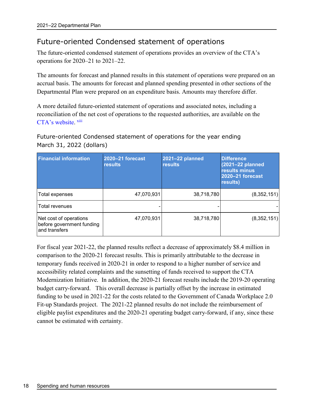### <span id="page-21-0"></span>Future-oriented Condensed statement of operations

The future-oriented condensed statement of operations provides an overview of the CTA's operations for 2020–21 to 2021–22.

The amounts for forecast and planned results in this statement of operations were prepared on an accrual basis. The amounts for forecast and planned spending presented in other sections of the Departmental Plan were prepared on an expenditure basis. Amounts may therefore differ.

A more detailed future-oriented statement of operations and associated notes, including a reconciliation of the net cost of operations to the requested authorities, are available on the [CTA's website.](https://www.otc-cta.gc.ca/eng/splashify-splash) [xiii](#page-30-13)

Future-oriented Condensed statement of operations for the year ending March 31, 2022 (dollars)

| <b>Financial information</b>                                         | 2020-21 forecast<br><b>results</b> | 2021-22 planned<br><b>results</b> | <b>Difference</b><br>(2021-22 planned<br>results minus<br>2020-21 forecast<br>results) |
|----------------------------------------------------------------------|------------------------------------|-----------------------------------|----------------------------------------------------------------------------------------|
| Total expenses                                                       | 47,070,931                         | 38,718,780                        | (8,352,151)                                                                            |
| <b>Total revenues</b>                                                |                                    |                                   |                                                                                        |
| Net cost of operations<br>before government funding<br>and transfers | 47,070,931                         | 38,718,780                        | (8,352,151)                                                                            |

<span id="page-21-1"></span>For fiscal year 2021-22, the planned results reflect a decrease of approximately \$8.4 million in comparison to the 2020-21 forecast results. This is primarily attributable to the decrease in temporary funds received in 2020-21 in order to respond to a higher number of service and accessibility related complaints and the sunsetting of funds received to support the CTA Modernization Initiative. In addition, the 2020-21 forecast results include the 2019-20 operating budget carry-forward. This overall decrease is partially offset by the increase in estimated funding to be used in 2021-22 for the costs related to the Government of Canada Workplace 2.0 Fit-up Standards project. The 2021-22 planned results do not include the reimbursement of eligible paylist expenditures and the 2020-21 operating budget carry-forward, if any, since these cannot be estimated with certainty.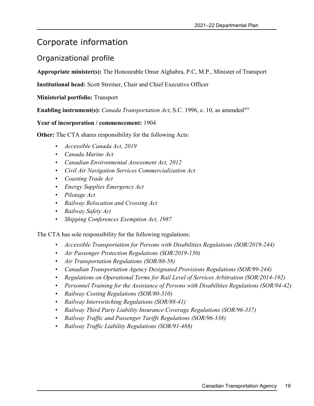### Corporate information

### <span id="page-22-0"></span>Organizational profile

**Appropriate minister(s):** The Honourable Omar Alghabra, P.C, M.P., Minister of Transport

**Institutional head:** Scott Streiner, Chair and Chief Executive Officer

**Ministerial portfolio:** Transport

**Enabling instrument(s):** *Canada Transportation Act*, S.C. 1996, c. 10, as amended<sup>[xiv](#page-30-14)</sup>

**Year of incorporation / commencement:** 1904

**Other:** The CTA shares responsibility for the following Acts:

- *Accessible Canada Act, 2019*
- *Canada Marine Act*
- *Canadian Environmental Assessment Act, 2012*
- *Civil Air Navigation Services Commercialization Act*
- *Coasting Trade Act*
- *Energy Supplies Emergency Act*
- *Pilotage Act*
- *Railway Relocation and Crossing Act*
- *Railway Safety Act*
- *Shipping Conferences Exemption Act, 1987*

The CTA has sole responsibility for the following regulations:

- *Accessible Transportation for Persons with Disabilities Regulations (SOR/2019-244)*
- *Air Passenger Protection Regulations (SOR/2019-150)*
- *Air Transportation Regulations (SOR/88-58)*
- *Canadian Transportation Agency Designated Provisions Regulations (SOR/99-244)*
- *Regulations on Operational Terms for Rail Level of Services Arbitration (SOR/2014-192)*
- *Personnel Training for the Assistance of Persons with Disabilities Regulations (SOR/94-42)*
- *Railway Costing Regulations (SOR/80-310)*
- *Railway Interswitching Regulations (SOR/88-41)*
- *Railway Third Party Liability Insurance Coverage Regulations (SOR/96-337)*
- *Railway Traffic and Passenger Tariffs Regulations (SOR/96-338)*
- *Railway Traffic Liability Regulations (SOR/91-488)*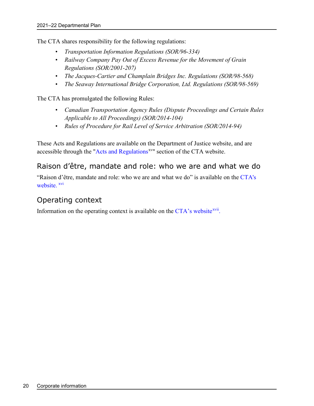The CTA shares responsibility for the following regulations:

- *Transportation Information Regulations (SOR/96-334)*
- *Railway Company Pay Out of Excess Revenue for the Movement of Grain Regulations (SOR/2001-207)*
- *The Jacques-Cartier and Champlain Bridges Inc. Regulations (SOR/98-568)*
- *The Seaway International Bridge Corporation, Ltd. Regulations (SOR/98-569)*

The CTA has promulgated the following Rules:

- *Canadian Transportation Agency Rules (Dispute Proceedings and Certain Rules Applicable to All Proceedings) (SOR/2014-104)*
- *Rules of Procedure for Rail Level of Service Arbitration (SOR/2014-94)*

These Acts and Regulations are available on the Department of Justice website, and are accessible through the ["Acts and Regulations](https://www.otc-cta.gc.ca/eng/acts-and-regulations)<sup>xv</sup>" section of the CTA website.

#### <span id="page-23-0"></span>Raison d'être, mandate and role: who we are and what we do

"Raison d'être, mandate and role: who we are and what we do" is available on the [CTA's](https://www.otc-cta.gc.ca/eng/splashify-splash)  [website.](https://www.otc-cta.gc.ca/eng/splashify-splash) [xvi](#page-30-16)

### <span id="page-23-1"></span>Operating context

Information on the operating context is available on the  $CTA$ 's website<sup>xvii</sup>.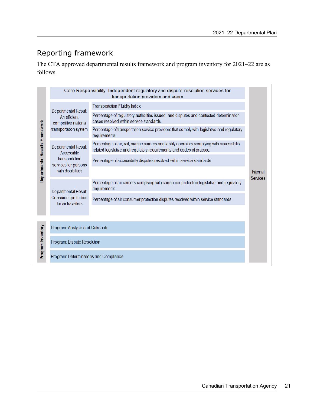## <span id="page-24-0"></span>Reporting framework

The CTA approved departmental results framework and program inventory for 2021–22 are as follows.

|                                |                                                                                                  | Core Responsibility: Independent regulatory and dispute-resolution services for<br>transportation providers and users                                                  |                             |  |
|--------------------------------|--------------------------------------------------------------------------------------------------|------------------------------------------------------------------------------------------------------------------------------------------------------------------------|-----------------------------|--|
| Departmental Results Framework | Departmental Result<br>An efficient,<br>competitive national<br>transportation system            | Transportation Fluidity Index.                                                                                                                                         |                             |  |
|                                |                                                                                                  | Percentage of regulatory authorities issued, and disputes and contested determination<br>cases resolved within service standards.                                      |                             |  |
|                                |                                                                                                  | Percentage of transportation service providers that comply with legislative and regulatory<br>requirements.                                                            |                             |  |
|                                | Departmental Result<br>Accessible<br>transportation<br>services for persons<br>with disabilities | Percentage of air, rail, marine carriers and facility operators complying with accessibility<br>related legislative and regulatory requirements and codes of practice. |                             |  |
|                                |                                                                                                  | Percentage of accessibility disputes resolved within service standards.                                                                                                |                             |  |
|                                |                                                                                                  |                                                                                                                                                                        | Internal<br><b>Services</b> |  |
|                                | Departmental Result<br>Consumer protection<br>for air travellers                                 | Percentage of air carriers complying with consumer protection legislative and regulatory<br>requirements.                                                              |                             |  |
|                                |                                                                                                  | Percentage of air consumer protection disputes resolved within service standards.                                                                                      |                             |  |
|                                |                                                                                                  |                                                                                                                                                                        |                             |  |
|                                | Program: Analysis and Outreach                                                                   |                                                                                                                                                                        |                             |  |
| Program Inventory              | Program: Dispute Resolution                                                                      |                                                                                                                                                                        |                             |  |
|                                | Program: Determinations and Compliance                                                           |                                                                                                                                                                        |                             |  |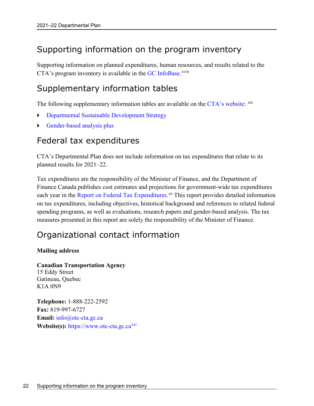# <span id="page-25-0"></span>Supporting information on the program inventory

Supporting information on planned expenditures, human reso[ur](#page-30-18)ces, and results related to the CTA's program inventory is available in the GC [InfoBase.](https://www.tbs-sct.gc.ca/ems-sgd/edb-bdd/index-eng.html)<sup>xviii</sup>

# <span id="page-25-1"></span>Supplementary information tables

The following supplementary information tables are available on the [CTA's website:](https://www.otc-cta.gc.ca/) [xix](#page-30-19)

- Departmental Sustainable Development Strategy
- Gender-based analysis plus

### <span id="page-25-2"></span>Federal tax expenditures

CTA's Departmental Plan does not include information on tax expenditures that relate to its planned results for 2021–22.

Tax expenditures are the responsibility of the Minister of Finance, and the Department of Finance Canada publishes cost estimates and projections for government-wide tax expenditures each year in the [Report on Federal Tax Expenditures.](https://www.canada.ca/en/department-finance/services/publications/federal-tax-expenditures.html)<sup>xx</sup> This report provides detailed information on tax expenditures, including objectives, historical background and references to related federal spending programs, as well as evaluations, research papers and gender-based analysis. The tax measures presented in this report are solely the responsibility of the Minister of Finance.

# <span id="page-25-3"></span>Organizational contact information

#### **Mailing address**

**Canadian Transportation Agency**  15 Eddy Street Gatineau, Quebec K1A 0N9

**Telephone:** 1-888-222-2592 **Fax:** 819-997-6727 **Email:** info@otc-cta.gc.ca **Website(s):** https://www.otc-cta.gc.ca<sup>[xxi](#page-30-21)</sup>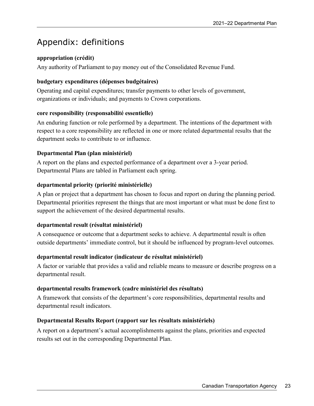# <span id="page-26-0"></span>Appendix: definitions

#### **appropriation (crédit)**

Any authority of Parliament to pay money out of the Consolidated Revenue Fund.

#### **budgetary expenditures (dépenses budgétaires)**

Operating and capital expenditures; transfer payments to other levels of government, organizations or individuals; and payments to Crown corporations.

#### **core responsibility (responsabilité essentielle)**

An enduring function or role performed by a department. The intentions of the department with respect to a core responsibility are reflected in one or more related departmental results that the department seeks to contribute to or influence.

#### **Departmental Plan (plan ministériel)**

A report on the plans and expected performance of a department over a 3-year period. Departmental Plans are tabled in Parliament each spring.

#### **departmental priority (priorité ministérielle)**

A plan or project that a department has chosen to focus and report on during the planning period. Departmental priorities represent the things that are most important or what must be done first to support the achievement of the desired departmental results.

#### **departmental result (résultat ministériel)**

A consequence or outcome that a department seeks to achieve. A departmental result is often outside departments' immediate control, but it should be influenced by program-level outcomes.

#### **departmental result indicator (indicateur de résultat ministériel)**

A factor or variable that provides a valid and reliable means to measure or describe progress on a departmental result.

#### **departmental results framework (cadre ministériel des résultats)**

A framework that consists of the department's core responsibilities, departmental results and departmental result indicators.

#### **Departmental Results Report (rapport sur les résultats ministériels)**

A report on a department's actual accomplishments against the plans, priorities and expected results set out in the corresponding Departmental Plan.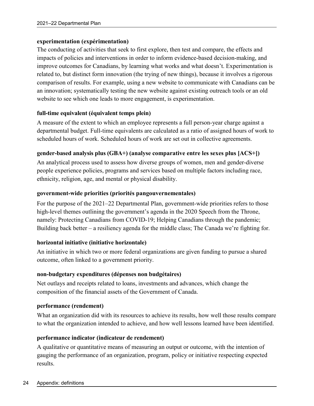#### **experimentation (expérimentation)**

The conducting of activities that seek to first explore, then test and compare, the effects and impacts of policies and interventions in order to inform evidence-based decision-making, and improve outcomes for Canadians, by learning what works and what doesn't. Experimentation is related to, but distinct form innovation (the trying of new things), because it involves a rigorous comparison of results. For example, using a new website to communicate with Canadians can be an innovation; systematically testing the new website against existing outreach tools or an old website to see which one leads to more engagement, is experimentation.

#### **full-time equivalent (équivalent temps plein)**

A measure of the extent to which an employee represents a full person-year charge against a departmental budget. Full-time equivalents are calculated as a ratio of assigned hours of work to scheduled hours of work. Scheduled hours of work are set out in collective agreements.

#### **gender-based analysis plus (GBA+) (analyse comparative entre les sexes plus [ACS+])**

An analytical process used to assess how diverse groups of women, men and gender-diverse people experience policies, programs and services based on multiple factors including race, ethnicity, religion, age, and mental or physical disability.

#### **government-wide priorities (priorités pangouvernementales)**

For the purpose of the 2021–22 Departmental Plan, government-wide priorities refers to those high-level themes outlining the government's agenda in the 2020 Speech from the Throne, namely: Protecting Canadians from COVID-19; Helping Canadians through the pandemic; Building back better – a resiliency agenda for the middle class; The Canada we're fighting for.

#### **horizontal initiative (initiative horizontale)**

An initiative in which two or more federal organizations are given funding to pursue a shared outcome, often linked to a government priority.

#### **non-budgetary expenditures (dépenses non budgétaires)**

Net outlays and receipts related to loans, investments and advances, which change the composition of the financial assets of the Government of Canada.

#### **performance (rendement)**

What an organization did with its resources to achieve its results, how well those results compare to what the organization intended to achieve, and how well lessons learned have been identified.

#### **performance indicator (indicateur de rendement)**

A qualitative or quantitative means of measuring an output or outcome, with the intention of gauging the performance of an organization, program, policy or initiative respecting expected results.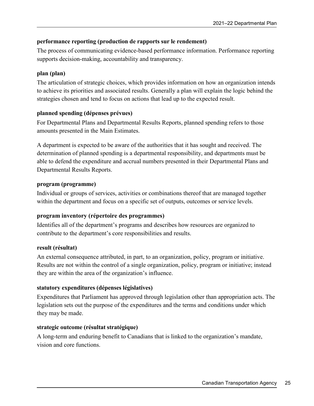#### **performance reporting (production de rapports sur le rendement)**

The process of communicating evidence-based performance information. Performance reporting supports decision-making, accountability and transparency.

#### **plan (plan)**

The articulation of strategic choices, which provides information on how an organization intends to achieve its priorities and associated results. Generally a plan will explain the logic behind the strategies chosen and tend to focus on actions that lead up to the expected result.

#### **planned spending (dépenses prévues)**

For Departmental Plans and Departmental Results Reports, planned spending refers to those amounts presented in the Main Estimates.

A department is expected to be aware of the authorities that it has sought and received. The determination of planned spending is a departmental responsibility, and departments must be able to defend the expenditure and accrual numbers presented in their Departmental Plans and Departmental Results Reports.

#### **program (programme)**

Individual or groups of services, activities or combinations thereof that are managed together within the department and focus on a specific set of outputs, outcomes or service levels.

#### **program inventory (répertoire des programmes)**

Identifies all of the department's programs and describes how resources are organized to contribute to the department's core responsibilities and results.

#### **result (résultat)**

An external consequence attributed, in part, to an organization, policy, program or initiative. Results are not within the control of a single organization, policy, program or initiative; instead they are within the area of the organization's influence.

#### **statutory expenditures (dépenses législatives)**

Expenditures that Parliament has approved through legislation other than appropriation acts. The legislation sets out the purpose of the expenditures and the terms and conditions under which they may be made.

#### **strategic outcome (résultat stratégique)**

A long-term and enduring benefit to Canadians that is linked to the organization's mandate, vision and core functions.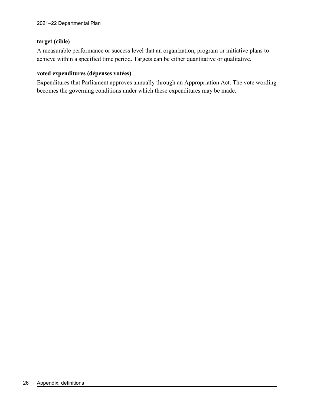#### **target (cible)**

A measurable performance or success level that an organization, program or initiative plans to achieve within a specified time period. Targets can be either quantitative or qualitative.

#### **voted expenditures (dépenses votées)**

Expenditures that Parliament approves annually through an Appropriation Act. The vote wording becomes the governing conditions under which these expenditures may be made.